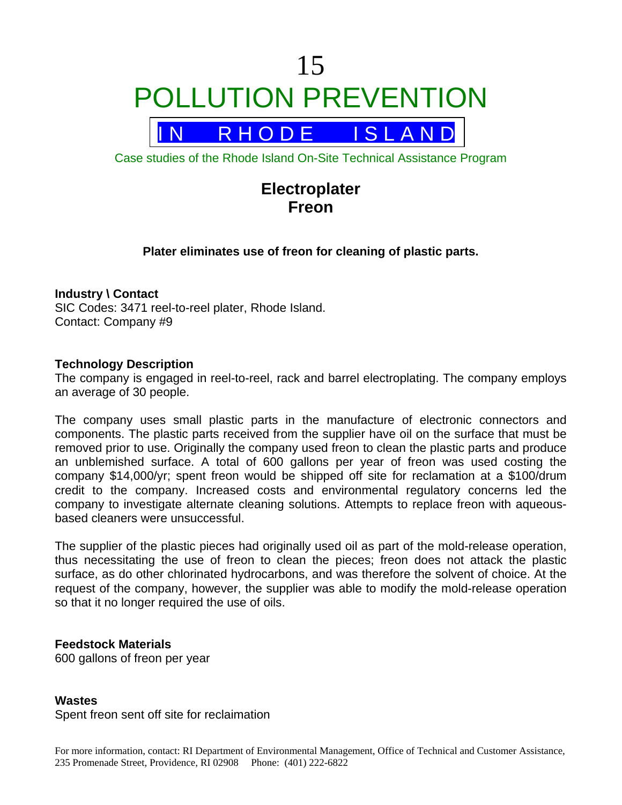# 15 POLLUTION PREVENTION



Case studies of the Rhode Island On-Site Technical Assistance Program

## **Electroplater Freon**

#### **Plater eliminates use of freon for cleaning of plastic parts.**

#### **Industry \ Contact**

SIC Codes: 3471 reel-to-reel plater, Rhode Island. Contact: Company #9

#### **Technology Description**

The company is engaged in reel-to-reel, rack and barrel electroplating. The company employs an average of 30 people.

The company uses small plastic parts in the manufacture of electronic connectors and components. The plastic parts received from the supplier have oil on the surface that must be removed prior to use. Originally the company used freon to clean the plastic parts and produce an unblemished surface. A total of 600 gallons per year of freon was used costing the company \$14,000/yr; spent freon would be shipped off site for reclamation at a \$100/drum credit to the company. Increased costs and environmental regulatory concerns led the company to investigate alternate cleaning solutions. Attempts to replace freon with aqueousbased cleaners were unsuccessful.

The supplier of the plastic pieces had originally used oil as part of the mold-release operation, thus necessitating the use of freon to clean the pieces; freon does not attack the plastic surface, as do other chlorinated hydrocarbons, and was therefore the solvent of choice. At the request of the company, however, the supplier was able to modify the mold-release operation so that it no longer required the use of oils.

#### **Feedstock Materials**

600 gallons of freon per year

#### **Wastes**

Spent freon sent off site for reclaimation